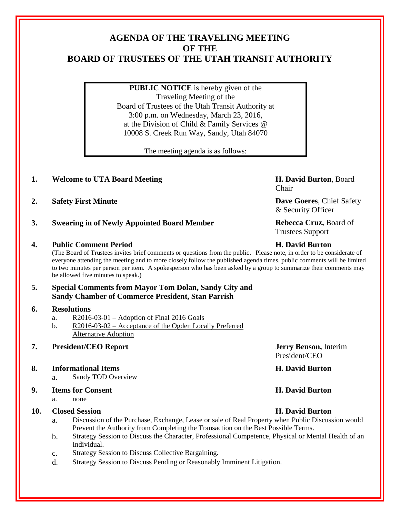# **AGENDA OF THE TRAVELING MEETING OF THE BOARD OF TRUSTEES OF THE UTAH TRANSIT AUTHORITY**

**PUBLIC NOTICE** is hereby given of the Traveling Meeting of the Board of Trustees of the Utah Transit Authority at 3:00 p.m. on Wednesday, March 23, 2016, at the Division of Child & Family Services @ 10008 S. Creek Run Way, Sandy, Utah 84070

The meeting agenda is as follows:

# **1. Welcome to UTA Board Meeting H. David Burton**, Board

- **2. Safety First Minute Dave Goeres**, Chief Safety
- **3. Swearing in of Newly Appointed Board Member Rebecca Cruz,** Board of

### **4. Public Comment Period H. David Burton**

(The Board of Trustees invites brief comments or questions from the public. Please note, in order to be considerate of everyone attending the meeting and to more closely follow the published agenda times, public comments will be limited to two minutes per person per item. A spokesperson who has been asked by a group to summarize their comments may be allowed five minutes to speak.)

## **5. Special Comments from Mayor Tom Dolan, Sandy City and Sandy Chamber of Commerce President, Stan Parrish**

### **6. Resolutions**

- a. R2016-03-01 Adoption of Final 2016 Goals
- b. R2016-03-02 Acceptance of the Ogden Locally Preferred Alternative Adoption

# **7. President/CEO Report Jerry Benson,** Interim

### **8. Informational Items H. David Burton**

a. Sandy TOD Overview

### **9. Items for Consent H. David Burton**

a. none

# **10. Closed Session H. David Burton**

- a. Discussion of the Purchase, Exchange, Lease or sale of Real Property when Public Discussion would Prevent the Authority from Completing the Transaction on the Best Possible Terms.
- b. Strategy Session to Discuss the Character, Professional Competence, Physical or Mental Health of an Individual.
- c. Strategy Session to Discuss Collective Bargaining.
- d. Strategy Session to Discuss Pending or Reasonably Imminent Litigation.

Chair

& Security Officer

Trustees Support

President/CEO